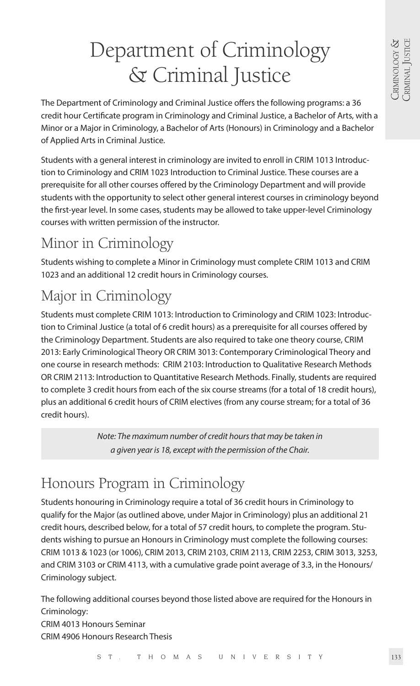# Department of Criminology & Criminal Justice

The Department of Criminology and Criminal Justice offers the following programs: a 36 credit hour Certificate program in Criminology and Criminal Justice, a Bachelor of Arts, with a Minor or a Major in Criminology, a Bachelor of Arts (Honours) in Criminology and a Bachelor of Applied Arts in Criminal Justice.

Students with a general interest in criminology are invited to enroll in CRIM 1013 Introduction to Criminology and CRIM 1023 Introduction to Criminal Justice. These courses are a prerequisite for all other courses offered by the Criminology Department and will provide students with the opportunity to select other general interest courses in criminology beyond the first-year level. In some cases, students may be allowed to take upper-level Criminology courses with written permission of the instructor.

# Minor in Criminology

Students wishing to complete a Minor in Criminology must complete CRIM 1013 and CRIM 1023 and an additional 12 credit hours in Criminology courses.

# Major in Criminology

Students must complete CRIM 1013: Introduction to Criminology and CRIM 1023: Introduction to Criminal Justice (a total of 6 credit hours) as a prerequisite for all courses offered by the Criminology Department. Students are also required to take one theory course, CRIM 2013: Early Criminological Theory OR CRIM 3013: Contemporary Criminological Theory and one course in research methods: CRIM 2103: Introduction to Qualitative Research Methods OR CRIM 2113: Introduction to Quantitative Research Methods. Finally, students are required to complete 3 credit hours from each of the six course streams (for a total of 18 credit hours), plus an additional 6 credit hours of CRIM electives (from any course stream; for a total of 36 credit hours).

> *Note: The maximum number of credit hours that may be taken in a given year is 18, except with the permission of the Chair.*

# Honours Program in Criminology

Students honouring in Criminology require a total of 36 credit hours in Criminology to qualify for the Major (as outlined above, under Major in Criminology) plus an additional 21 credit hours, described below, for a total of 57 credit hours, to complete the program. Students wishing to pursue an Honours in Criminology must complete the following courses: CRIM 1013 & 1023 (or 1006), CRIM 2013, CRIM 2103, CRIM 2113, CRIM 2253, CRIM 3013, 3253, and CRIM 3103 or CRIM 4113, with a cumulative grade point average of 3.3, in the Honours/ Criminology subject.

The following additional courses beyond those listed above are required for the Honours in Criminology: CRIM 4013 Honours Seminar

CRIM 4906 Honours Research Thesis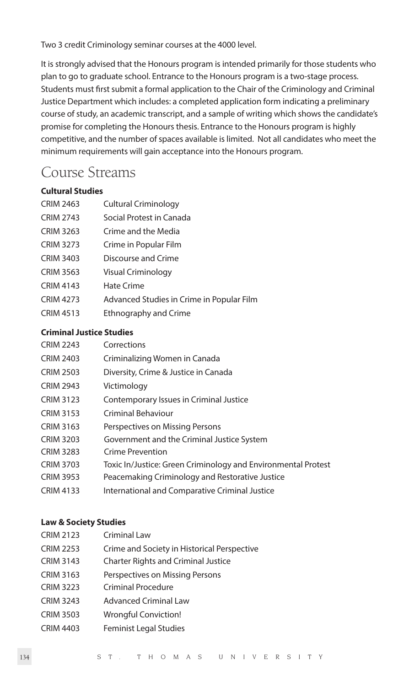Two 3 credit Criminology seminar courses at the 4000 level.

It is strongly advised that the Honours program is intended primarily for those students who plan to go to graduate school. Entrance to the Honours program is a two-stage process. Students must first submit a formal application to the Chair of the Criminology and Criminal Justice Department which includes: a completed application form indicating a preliminary course of study, an academic transcript, and a sample of writing which shows the candidate's promise for completing the Honours thesis. Entrance to the Honours program is highly competitive, and the number of spaces available is limited. Not all candidates who meet the minimum requirements will gain acceptance into the Honours program.

# Course Streams

# **Cultural Studies**

| <b>CRIM 2463</b> | Cultural Criminology                      |
|------------------|-------------------------------------------|
| CRIM 2743        | Social Protest in Canada                  |
| CRIM 3263        | Crime and the Media                       |
| CRIM 3273        | Crime in Popular Film                     |
| CRIM 3403        | Discourse and Crime                       |
| CRIM 3563        | Visual Criminology                        |
| CRIM 4143        | Hate Crime                                |
| CRIM 4273        | Advanced Studies in Crime in Popular Film |
| CRIM 4513        | Ethnography and Crime                     |
|                  |                                           |

### **Criminal Justice Studies**

- CRIM 2403 Criminalizing Women in Canada
- CRIM 2503 Diversity, Crime & Justice in Canada
- CRIM 2943 Victimology
- CRIM 3123 Contemporary Issues in Criminal Justice
- CRIM 3153 Criminal Behaviour
- CRIM 3163 Perspectives on Missing Persons
- CRIM 3203 Government and the Criminal Justice System
- CRIM 3283 Crime Prevention
- CRIM 3703 Toxic In/Justice: Green Criminology and Environmental Protest
- CRIM 3953 Peacemaking Criminology and Restorative Justice
- CRIM 4133 International and Comparative Criminal Justice

# **Law & Society Studies**

- CRIM 2123 Criminal Law
- CRIM 2253 Crime and Society in Historical Perspective
- CRIM 3143 Charter Rights and Criminal Justice
- CRIM 3163 Perspectives on Missing Persons
- CRIM 3223 Criminal Procedure
- CRIM 3243 Advanced Criminal Law
- CRIM 3503 Wrongful Conviction!
- CRIM 4403 Feminist Legal Studies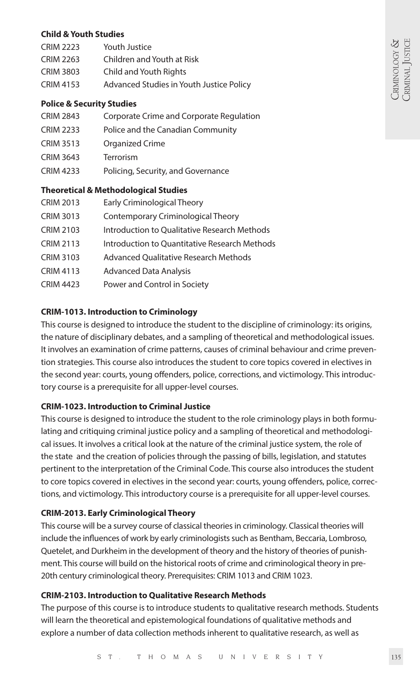#### **Child & Youth Studies**  $CDM 2222$   $M 111$

| CRIM 2223        | YOUTH JUSTICE                            |
|------------------|------------------------------------------|
| <b>CRIM 2263</b> | Children and Youth at Risk               |
| <b>CRIM 3803</b> | Child and Youth Rights                   |
| <b>CRIM 4153</b> | Advanced Studies in Youth Justice Policy |
|                  |                                          |

# **Police & Security Studies**

- CRIM 2843 Corporate Crime and Corporate Regulation
- CRIM 2233 Police and the Canadian Community
- CRIM 3513 Organized Crime
- CRIM 3643 Terrorism
- CRIM 4233 Policing, Security, and Governance

# **Theoretical & Methodological Studies**

- CRIM 2013 Early Criminological Theory
- CRIM 3013 Contemporary Criminological Theory
- CRIM 2103 Introduction to Qualitative Research Methods
- CRIM 2113 Introduction to Quantitative Research Methods
- CRIM 3103 Advanced Qualitative Research Methods
- CRIM 4113 Advanced Data Analysis
- CRIM 4423 Power and Control in Society

# **CRIM-1013. Introduction to Criminology**

This course is designed to introduce the student to the discipline of criminology: its origins, the nature of disciplinary debates, and a sampling of theoretical and methodological issues. It involves an examination of crime patterns, causes of criminal behaviour and crime prevention strategies. This course also introduces the student to core topics covered in electives in the second year: courts, young offenders, police, corrections, and victimology. This introductory course is a prerequisite for all upper-level courses.

# **CRIM-1023. Introduction to Criminal Justice**

This course is designed to introduce the student to the role criminology plays in both formulating and critiquing criminal justice policy and a sampling of theoretical and methodological issues. It involves a critical look at the nature of the criminal justice system, the role of the state and the creation of policies through the passing of bills, legislation, and statutes pertinent to the interpretation of the Criminal Code. This course also introduces the student to core topics covered in electives in the second year: courts, young offenders, police, corrections, and victimology. This introductory course is a prerequisite for all upper-level courses.

# **CRIM-2013. Early Criminological Theory**

This course will be a survey course of classical theories in criminology. Classical theories will include the influences of work by early criminologists such as Bentham, Beccaria, Lombroso, Quetelet, and Durkheim in the development of theory and the history of theories of punishment. This course will build on the historical roots of crime and criminological theory in pre-20th century criminological theory. Prerequisites: CRIM 1013 and CRIM 1023.

# **CRIM-2103. Introduction to Qualitative Research Methods**

The purpose of this course is to introduce students to qualitative research methods. Students will learn the theoretical and epistemological foundations of qualitative methods and explore a number of data collection methods inherent to qualitative research, as well as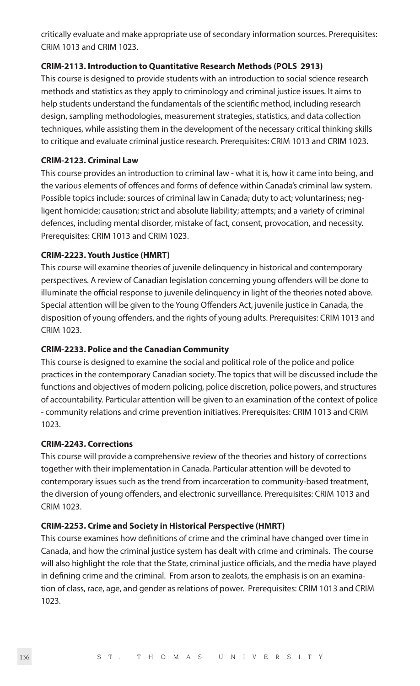critically evaluate and make appropriate use of secondary information sources. Prerequisites: CRIM 1013 and CRIM 1023.

# **CRIM-2113. Introduction to Quantitative Research Methods (POLS 2913)**

This course is designed to provide students with an introduction to social science research methods and statistics as they apply to criminology and criminal justice issues. It aims to help students understand the fundamentals of the scientific method, including research design, sampling methodologies, measurement strategies, statistics, and data collection techniques, while assisting them in the development of the necessary critical thinking skills to critique and evaluate criminal justice research. Prerequisites: CRIM 1013 and CRIM 1023.

### **CRIM-2123. Criminal Law**

This course provides an introduction to criminal law - what it is, how it came into being, and the various elements of offences and forms of defence within Canada's criminal law system. Possible topics include: sources of criminal law in Canada; duty to act; voluntariness; negligent homicide; causation; strict and absolute liability; attempts; and a variety of criminal defences, including mental disorder, mistake of fact, consent, provocation, and necessity. Prerequisites: CRIM 1013 and CRIM 1023.

# **CRIM-2223. Youth Justice (HMRT)**

This course will examine theories of juvenile delinquency in historical and contemporary perspectives. A review of Canadian legislation concerning young offenders will be done to illuminate the official response to juvenile delinquency in light of the theories noted above. Special attention will be given to the Young Offenders Act, juvenile justice in Canada, the disposition of young offenders, and the rights of young adults. Prerequisites: CRIM 1013 and CRIM 1023.

# **CRIM-2233. Police and the Canadian Community**

This course is designed to examine the social and political role of the police and police practices in the contemporary Canadian society. The topics that will be discussed include the functions and objectives of modern policing, police discretion, police powers, and structures of accountability. Particular attention will be given to an examination of the context of police - community relations and crime prevention initiatives. Prerequisites: CRIM 1013 and CRIM 1023.

# **CRIM-2243. Corrections**

This course will provide a comprehensive review of the theories and history of corrections together with their implementation in Canada. Particular attention will be devoted to contemporary issues such as the trend from incarceration to community-based treatment, the diversion of young offenders, and electronic surveillance. Prerequisites: CRIM 1013 and CRIM 1023.

# **CRIM-2253. Crime and Society in Historical Perspective (HMRT)**

This course examines how definitions of crime and the criminal have changed over time in Canada, and how the criminal justice system has dealt with crime and criminals. The course will also highlight the role that the State, criminal justice officials, and the media have played in defining crime and the criminal. From arson to zealots, the emphasis is on an examination of class, race, age, and gender as relations of power. Prerequisites: CRIM 1013 and CRIM 1023.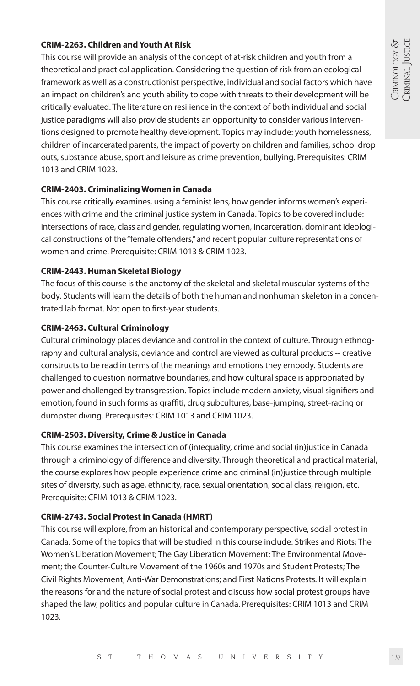# **CRIM-2263. Children and Youth At Risk**

This course will provide an analysis of the concept of at-risk children and youth from a theoretical and practical application. Considering the question of risk from an ecological framework as well as a constructionist perspective, individual and social factors which have an impact on children's and youth ability to cope with threats to their development will be critically evaluated. The literature on resilience in the context of both individual and social justice paradigms will also provide students an opportunity to consider various interventions designed to promote healthy development. Topics may include: youth homelessness, children of incarcerated parents, the impact of poverty on children and families, school drop outs, substance abuse, sport and leisure as crime prevention, bullying. Prerequisites: CRIM 1013 and CRIM 1023.

# **CRIM-2403. Criminalizing Women in Canada**

This course critically examines, using a feminist lens, how gender informs women's experiences with crime and the criminal justice system in Canada. Topics to be covered include: intersections of race, class and gender, regulating women, incarceration, dominant ideological constructions of the "female offenders," and recent popular culture representations of women and crime. Prerequisite: CRIM 1013 & CRIM 1023.

# **CRIM-2443. Human Skeletal Biology**

The focus of this course is the anatomy of the skeletal and skeletal muscular systems of the body. Students will learn the details of both the human and nonhuman skeleton in a concentrated lab format. Not open to first-year students.

# **CRIM-2463. Cultural Criminology**

Cultural criminology places deviance and control in the context of culture. Through ethnography and cultural analysis, deviance and control are viewed as cultural products -- creative constructs to be read in terms of the meanings and emotions they embody. Students are challenged to question normative boundaries, and how cultural space is appropriated by power and challenged by transgression. Topics include modern anxiety, visual signifiers and emotion, found in such forms as graffiti, drug subcultures, base-jumping, street-racing or dumpster diving. Prerequisites: CRIM 1013 and CRIM 1023.

# **CRIM-2503. Diversity, Crime & Justice in Canada**

This course examines the intersection of (in)equality, crime and social (in)justice in Canada through a criminology of difference and diversity. Through theoretical and practical material, the course explores how people experience crime and criminal (in)justice through multiple sites of diversity, such as age, ethnicity, race, sexual orientation, social class, religion, etc. Prerequisite: CRIM 1013 & CRIM 1023.

# **CRIM-2743. Social Protest in Canada (HMRT)**

This course will explore, from an historical and contemporary perspective, social protest in Canada. Some of the topics that will be studied in this course include: Strikes and Riots; The Women's Liberation Movement; The Gay Liberation Movement; The Environmental Movement; the Counter-Culture Movement of the 1960s and 1970s and Student Protests; The Civil Rights Movement; Anti-War Demonstrations; and First Nations Protests. It will explain the reasons for and the nature of social protest and discuss how social protest groups have shaped the law, politics and popular culture in Canada. Prerequisites: CRIM 1013 and CRIM 1023.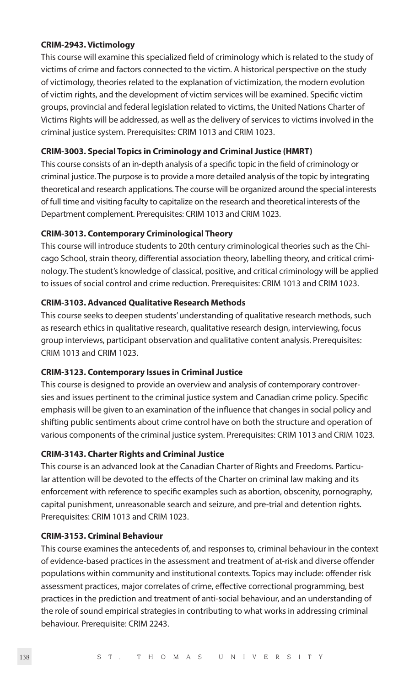#### **CRIM-2943. Victimology**

This course will examine this specialized field of criminology which is related to the study of victims of crime and factors connected to the victim. A historical perspective on the study of victimology, theories related to the explanation of victimization, the modern evolution of victim rights, and the development of victim services will be examined. Specific victim groups, provincial and federal legislation related to victims, the United Nations Charter of Victims Rights will be addressed, as well as the delivery of services to victims involved in the criminal justice system. Prerequisites: CRIM 1013 and CRIM 1023.

# **CRIM-3003. Special Topics in Criminology and Criminal Justice (HMRT)**

This course consists of an in-depth analysis of a specific topic in the field of criminology or criminal justice. The purpose is to provide a more detailed analysis of the topic by integrating theoretical and research applications. The course will be organized around the special interests of full time and visiting faculty to capitalize on the research and theoretical interests of the Department complement. Prerequisites: CRIM 1013 and CRIM 1023.

### **CRIM-3013. Contemporary Criminological Theory**

This course will introduce students to 20th century criminological theories such as the Chicago School, strain theory, differential association theory, labelling theory, and critical criminology. The student's knowledge of classical, positive, and critical criminology will be applied to issues of social control and crime reduction. Prerequisites: CRIM 1013 and CRIM 1023.

# **CRIM-3103. Advanced Qualitative Research Methods**

This course seeks to deepen students' understanding of qualitative research methods, such as research ethics in qualitative research, qualitative research design, interviewing, focus group interviews, participant observation and qualitative content analysis. Prerequisites: CRIM 1013 and CRIM 1023.

#### **CRIM-3123. Contemporary Issues in Criminal Justice**

This course is designed to provide an overview and analysis of contemporary controversies and issues pertinent to the criminal justice system and Canadian crime policy. Specific emphasis will be given to an examination of the influence that changes in social policy and shifting public sentiments about crime control have on both the structure and operation of various components of the criminal justice system. Prerequisites: CRIM 1013 and CRIM 1023.

# **CRIM-3143. Charter Rights and Criminal Justice**

This course is an advanced look at the Canadian Charter of Rights and Freedoms. Particular attention will be devoted to the effects of the Charter on criminal law making and its enforcement with reference to specific examples such as abortion, obscenity, pornography, capital punishment, unreasonable search and seizure, and pre-trial and detention rights. Prerequisites: CRIM 1013 and CRIM 1023.

### **CRIM-3153. Criminal Behaviour**

This course examines the antecedents of, and responses to, criminal behaviour in the context of evidence-based practices in the assessment and treatment of at-risk and diverse offender populations within community and institutional contexts. Topics may include: offender risk assessment practices, major correlates of crime, effective correctional programming, best practices in the prediction and treatment of anti-social behaviour, and an understanding of the role of sound empirical strategies in contributing to what works in addressing criminal behaviour. Prerequisite: CRIM 2243.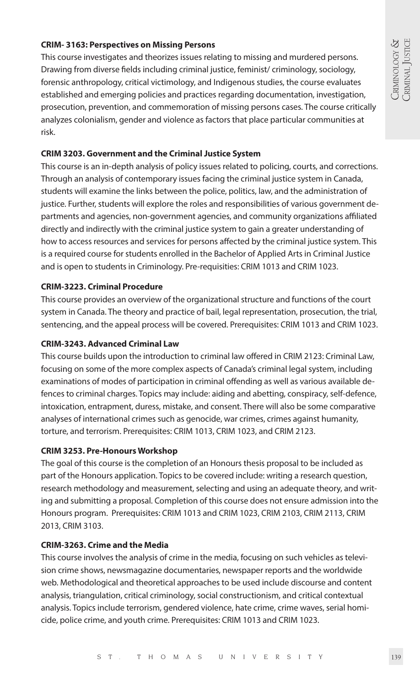# **CRIM- 3163: Perspectives on Missing Persons**

This course investigates and theorizes issues relating to missing and murdered persons. Drawing from diverse fields including criminal justice, feminist/ criminology, sociology, forensic anthropology, critical victimology, and Indigenous studies, the course evaluates established and emerging policies and practices regarding documentation, investigation, prosecution, prevention, and commemoration of missing persons cases. The course critically analyzes colonialism, gender and violence as factors that place particular communities at risk.

# **CRIM 3203. Government and the Criminal Justice System**

This course is an in-depth analysis of policy issues related to policing, courts, and corrections. Through an analysis of contemporary issues facing the criminal justice system in Canada, students will examine the links between the police, politics, law, and the administration of justice. Further, students will explore the roles and responsibilities of various government departments and agencies, non-government agencies, and community organizations affiliated directly and indirectly with the criminal justice system to gain a greater understanding of how to access resources and services for persons affected by the criminal justice system. This is a required course for students enrolled in the Bachelor of Applied Arts in Criminal Justice and is open to students in Criminology. Pre-requisities: CRIM 1013 and CRIM 1023.

# **CRIM-3223. Criminal Procedure**

This course provides an overview of the organizational structure and functions of the court system in Canada. The theory and practice of bail, legal representation, prosecution, the trial, sentencing, and the appeal process will be covered. Prerequisites: CRIM 1013 and CRIM 1023.

# **CRIM-3243. Advanced Criminal Law**

This course builds upon the introduction to criminal law offered in CRIM 2123: Criminal Law, focusing on some of the more complex aspects of Canada's criminal legal system, including examinations of modes of participation in criminal offending as well as various available defences to criminal charges. Topics may include: aiding and abetting, conspiracy, self-defence, intoxication, entrapment, duress, mistake, and consent. There will also be some comparative analyses of international crimes such as genocide, war crimes, crimes against humanity, torture, and terrorism. Prerequisites: CRIM 1013, CRIM 1023, and CRIM 2123.

# **CRIM 3253. Pre-Honours Workshop**

The goal of this course is the completion of an Honours thesis proposal to be included as part of the Honours application. Topics to be covered include: writing a research question, research methodology and measurement, selecting and using an adequate theory, and writing and submitting a proposal. Completion of this course does not ensure admission into the Honours program. Prerequisites: CRIM 1013 and CRIM 1023, CRIM 2103, CRIM 2113, CRIM 2013, CRIM 3103.

# **CRIM-3263. Crime and the Media**

This course involves the analysis of crime in the media, focusing on such vehicles as television crime shows, newsmagazine documentaries, newspaper reports and the worldwide web. Methodological and theoretical approaches to be used include discourse and content analysis, triangulation, critical criminology, social constructionism, and critical contextual analysis. Topics include terrorism, gendered violence, hate crime, crime waves, serial homicide, police crime, and youth crime. Prerequisites: CRIM 1013 and CRIM 1023.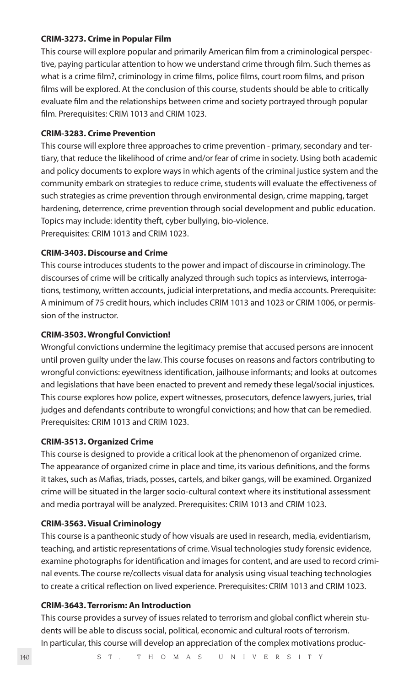#### **CRIM-3273. Crime in Popular Film**

This course will explore popular and primarily American film from a criminological perspective, paying particular attention to how we understand crime through film. Such themes as what is a crime film?, criminology in crime films, police films, court room films, and prison films will be explored. At the conclusion of this course, students should be able to critically evaluate film and the relationships between crime and society portrayed through popular film. Prerequisites: CRIM 1013 and CRIM 1023.

#### **CRIM-3283. Crime Prevention**

This course will explore three approaches to crime prevention - primary, secondary and tertiary, that reduce the likelihood of crime and/or fear of crime in society. Using both academic and policy documents to explore ways in which agents of the criminal justice system and the community embark on strategies to reduce crime, students will evaluate the effectiveness of such strategies as crime prevention through environmental design, crime mapping, target hardening, deterrence, crime prevention through social development and public education. Topics may include: identity theft, cyber bullying, bio-violence. Prerequisites: CRIM 1013 and CRIM 1023.

#### **CRIM-3403. Discourse and Crime**

This course introduces students to the power and impact of discourse in criminology. The discourses of crime will be critically analyzed through such topics as interviews, interrogations, testimony, written accounts, judicial interpretations, and media accounts. Prerequisite: A minimum of 75 credit hours, which includes CRIM 1013 and 1023 or CRIM 1006, or permission of the instructor.

# **CRIM-3503. Wrongful Conviction!**

Wrongful convictions undermine the legitimacy premise that accused persons are innocent until proven guilty under the law. This course focuses on reasons and factors contributing to wrongful convictions: eyewitness identification, jailhouse informants; and looks at outcomes and legislations that have been enacted to prevent and remedy these legal/social injustices. This course explores how police, expert witnesses, prosecutors, defence lawyers, juries, trial judges and defendants contribute to wrongful convictions; and how that can be remedied. Prerequisites: CRIM 1013 and CRIM 1023.

# **CRIM-3513. Organized Crime**

This course is designed to provide a critical look at the phenomenon of organized crime. The appearance of organized crime in place and time, its various definitions, and the forms it takes, such as Mafias, triads, posses, cartels, and biker gangs, will be examined. Organized crime will be situated in the larger socio-cultural context where its institutional assessment and media portrayal will be analyzed. Prerequisites: CRIM 1013 and CRIM 1023.

# **CRIM-3563. Visual Criminology**

This course is a pantheonic study of how visuals are used in research, media, evidentiarism, teaching, and artistic representations of crime. Visual technologies study forensic evidence, examine photographs for identification and images for content, and are used to record criminal events. The course re/collects visual data for analysis using visual teaching technologies to create a critical reflection on lived experience. Prerequisites: CRIM 1013 and CRIM 1023.

# **CRIM-3643. Terrorism: An Introduction**

This course provides a survey of issues related to terrorism and global conflict wherein students will be able to discuss social, political, economic and cultural roots of terrorism. In particular, this course will develop an appreciation of the complex motivations produc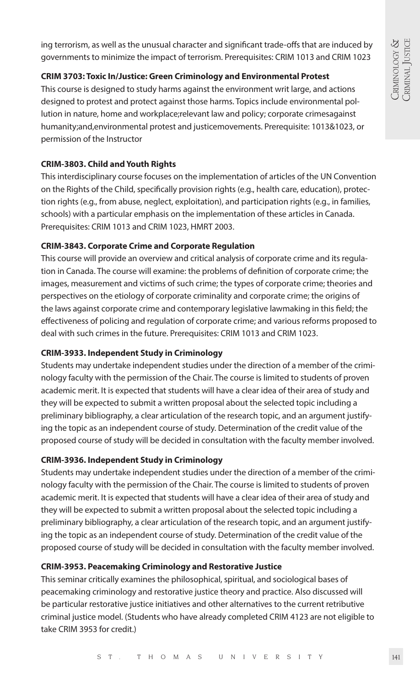ing terrorism, as well as the unusual character and significant trade-offs that are induced by governments to minimize the impact of terrorism. Prerequisites: CRIM 1013 and CRIM 1023

# **CRIM 3703: Toxic In/Justice: Green Criminology and Environmental Protest**

This course is designed to study harms against the environment writ large, and actions designed to protest and protect against those harms. Topics include environmental pollution in nature, home and workplace;relevant law and policy; corporate crimesagainst humanity;and,environmental protest and justicemovements. Prerequisite: 1013&1023, or permission of the Instructor

# **CRIM-3803. Child and Youth Rights**

This interdisciplinary course focuses on the implementation of articles of the UN Convention on the Rights of the Child, specifically provision rights (e.g., health care, education), protection rights (e.g., from abuse, neglect, exploitation), and participation rights (e.g., in families, schools) with a particular emphasis on the implementation of these articles in Canada. Prerequisites: CRIM 1013 and CRIM 1023, HMRT 2003.

# **CRIM-3843. Corporate Crime and Corporate Regulation**

This course will provide an overview and critical analysis of corporate crime and its regulation in Canada. The course will examine: the problems of definition of corporate crime; the images, measurement and victims of such crime; the types of corporate crime; theories and perspectives on the etiology of corporate criminality and corporate crime; the origins of the laws against corporate crime and contemporary legislative lawmaking in this field; the effectiveness of policing and regulation of corporate crime; and various reforms proposed to deal with such crimes in the future. Prerequisites: CRIM 1013 and CRIM 1023.

# **CRIM-3933. Independent Study in Criminology**

Students may undertake independent studies under the direction of a member of the criminology faculty with the permission of the Chair. The course is limited to students of proven academic merit. It is expected that students will have a clear idea of their area of study and they will be expected to submit a written proposal about the selected topic including a preliminary bibliography, a clear articulation of the research topic, and an argument justifying the topic as an independent course of study. Determination of the credit value of the proposed course of study will be decided in consultation with the faculty member involved.

# **CRIM-3936. Independent Study in Criminology**

Students may undertake independent studies under the direction of a member of the criminology faculty with the permission of the Chair. The course is limited to students of proven academic merit. It is expected that students will have a clear idea of their area of study and they will be expected to submit a written proposal about the selected topic including a preliminary bibliography, a clear articulation of the research topic, and an argument justifying the topic as an independent course of study. Determination of the credit value of the proposed course of study will be decided in consultation with the faculty member involved.

# **CRIM-3953. Peacemaking Criminology and Restorative Justice**

This seminar critically examines the philosophical, spiritual, and sociological bases of peacemaking criminology and restorative justice theory and practice. Also discussed will be particular restorative justice initiatives and other alternatives to the current retributive criminal justice model. (Students who have already completed CRIM 4123 are not eligible to take CRIM 3953 for credit.)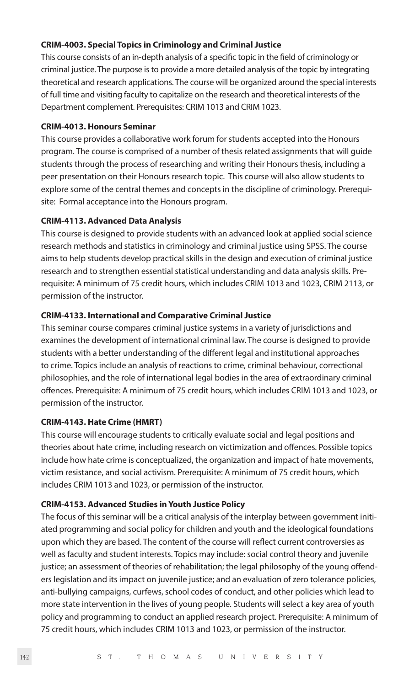#### **CRIM-4003. Special Topics in Criminology and Criminal Justice**

This course consists of an in-depth analysis of a specific topic in the field of criminology or criminal justice. The purpose is to provide a more detailed analysis of the topic by integrating theoretical and research applications. The course will be organized around the special interests of full time and visiting faculty to capitalize on the research and theoretical interests of the Department complement. Prerequisites: CRIM 1013 and CRIM 1023.

#### **CRIM-4013. Honours Seminar**

This course provides a collaborative work forum for students accepted into the Honours program. The course is comprised of a number of thesis related assignments that will guide students through the process of researching and writing their Honours thesis, including a peer presentation on their Honours research topic. This course will also allow students to explore some of the central themes and concepts in the discipline of criminology. Prerequisite: Formal acceptance into the Honours program.

# **CRIM-4113. Advanced Data Analysis**

This course is designed to provide students with an advanced look at applied social science research methods and statistics in criminology and criminal justice using SPSS. The course aims to help students develop practical skills in the design and execution of criminal justice research and to strengthen essential statistical understanding and data analysis skills. Prerequisite: A minimum of 75 credit hours, which includes CRIM 1013 and 1023, CRIM 2113, or permission of the instructor.

#### **CRIM-4133. International and Comparative Criminal Justice**

This seminar course compares criminal justice systems in a variety of jurisdictions and examines the development of international criminal law. The course is designed to provide students with a better understanding of the different legal and institutional approaches to crime. Topics include an analysis of reactions to crime, criminal behaviour, correctional philosophies, and the role of international legal bodies in the area of extraordinary criminal offences. Prerequisite: A minimum of 75 credit hours, which includes CRIM 1013 and 1023, or permission of the instructor.

#### **CRIM-4143. Hate Crime (HMRT)**

This course will encourage students to critically evaluate social and legal positions and theories about hate crime, including research on victimization and offences. Possible topics include how hate crime is conceptualized, the organization and impact of hate movements, victim resistance, and social activism. Prerequisite: A minimum of 75 credit hours, which includes CRIM 1013 and 1023, or permission of the instructor.

#### **CRIM-4153. Advanced Studies in Youth Justice Policy**

The focus of this seminar will be a critical analysis of the interplay between government initiated programming and social policy for children and youth and the ideological foundations upon which they are based. The content of the course will reflect current controversies as well as faculty and student interests. Topics may include: social control theory and juvenile justice; an assessment of theories of rehabilitation; the legal philosophy of the young offenders legislation and its impact on juvenile justice; and an evaluation of zero tolerance policies, anti-bullying campaigns, curfews, school codes of conduct, and other policies which lead to more state intervention in the lives of young people. Students will select a key area of youth policy and programming to conduct an applied research project. Prerequisite: A minimum of 75 credit hours, which includes CRIM 1013 and 1023, or permission of the instructor.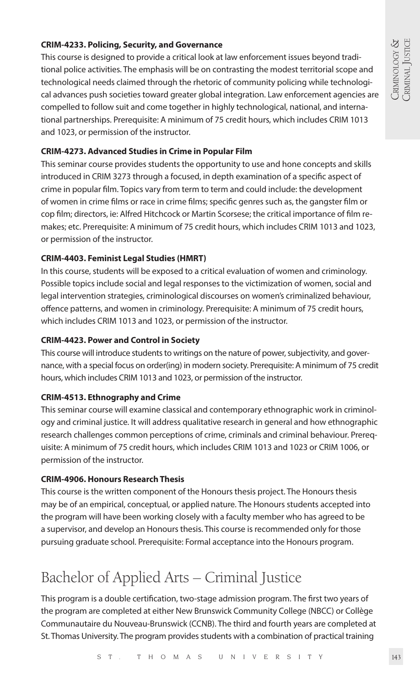# CRIMINOLOGY &<br>CRIMINAL JUSTICE CRIMINAL JUSTICE CRIMINOLOGY &

# **CRIM-4233. Policing, Security, and Governance**

This course is designed to provide a critical look at law enforcement issues beyond traditional police activities. The emphasis will be on contrasting the modest territorial scope and technological needs claimed through the rhetoric of community policing while technological advances push societies toward greater global integration. Law enforcement agencies are compelled to follow suit and come together in highly technological, national, and international partnerships. Prerequisite: A minimum of 75 credit hours, which includes CRIM 1013 and 1023, or permission of the instructor.

# **CRIM-4273. Advanced Studies in Crime in Popular Film**

This seminar course provides students the opportunity to use and hone concepts and skills introduced in CRIM 3273 through a focused, in depth examination of a specific aspect of crime in popular film. Topics vary from term to term and could include: the development of women in crime films or race in crime films; specific genres such as, the gangster film or cop film; directors, ie: Alfred Hitchcock or Martin Scorsese; the critical importance of film remakes; etc. Prerequisite: A minimum of 75 credit hours, which includes CRIM 1013 and 1023, or permission of the instructor.

# **CRIM-4403. Feminist Legal Studies (HMRT)**

In this course, students will be exposed to a critical evaluation of women and criminology. Possible topics include social and legal responses to the victimization of women, social and legal intervention strategies, criminological discourses on women's criminalized behaviour, offence patterns, and women in criminology. Prerequisite: A minimum of 75 credit hours, which includes CRIM 1013 and 1023, or permission of the instructor.

# **CRIM-4423. Power and Control in Society**

This course will introduce students to writings on the nature of power, subjectivity, and governance, with a special focus on order(ing) in modern society. Prerequisite: A minimum of 75 credit hours, which includes CRIM 1013 and 1023, or permission of the instructor.

# **CRIM-4513. Ethnography and Crime**

This seminar course will examine classical and contemporary ethnographic work in criminology and criminal justice. It will address qualitative research in general and how ethnographic research challenges common perceptions of crime, criminals and criminal behaviour. Prerequisite: A minimum of 75 credit hours, which includes CRIM 1013 and 1023 or CRIM 1006, or permission of the instructor.

# **CRIM-4906. Honours Research Thesis**

This course is the written component of the Honours thesis project. The Honours thesis may be of an empirical, conceptual, or applied nature. The Honours students accepted into the program will have been working closely with a faculty member who has agreed to be a supervisor, and develop an Honours thesis. This course is recommended only for those pursuing graduate school. Prerequisite: Formal acceptance into the Honours program.

# Bachelor of Applied Arts – Criminal Justice

This program is a double certification, two-stage admission program. The first two years of the program are completed at either New Brunswick Community College (NBCC) or Collège Communautaire du Nouveau-Brunswick (CCNB). The third and fourth years are completed at St. Thomas University. The program provides students with a combination of practical training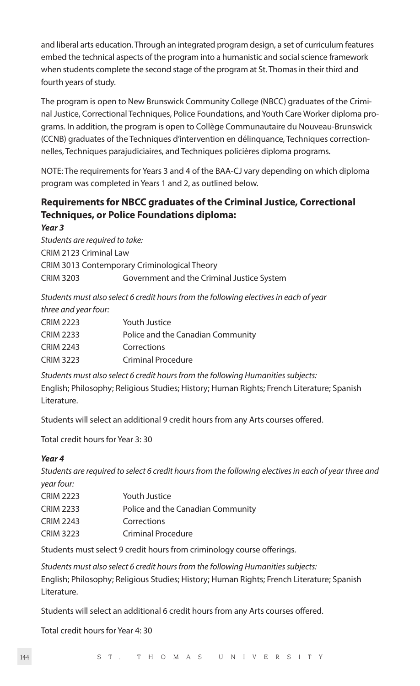and liberal arts education. Through an integrated program design, a set of curriculum features embed the technical aspects of the program into a humanistic and social science framework when students complete the second stage of the program at St. Thomas in their third and fourth years of study.

The program is open to New Brunswick Community College (NBCC) graduates of the Criminal Justice, Correctional Techniques, Police Foundations, and Youth Care Worker diploma programs. In addition, the program is open to Collège Communautaire du Nouveau-Brunswick (CCNB) graduates of the Techniques d'intervention en délinquance, Techniques correctionnelles, Techniques parajudiciaires, and Techniques policières diploma programs.

NOTE: The requirements for Years 3 and 4 of the BAA-CJ vary depending on which diploma program was completed in Years 1 and 2, as outlined below.

# **Requirements for NBCC graduates of the Criminal Justice, Correctional Techniques, or Police Foundations diploma:**

*Year 3 Students are required to take:* CRIM 2123 Criminal Law CRIM 3013 Contemporary Criminological Theory CRIM 3203 Government and the Criminal Justice System

*Students must also select 6 credit hours from the following electives in each of year three and year four:*

| <b>CRIM 2223</b> | Youth Justice                     |
|------------------|-----------------------------------|
| <b>CRIM 2233</b> | Police and the Canadian Community |
| <b>CRIM 2243</b> | Corrections                       |
| <b>CRIM 3223</b> | Criminal Procedure                |
|                  |                                   |

*Students must also select 6 credit hours from the following Humanities subjects:*  English; Philosophy; Religious Studies; History; Human Rights; French Literature; Spanish Literature.

Students will select an additional 9 credit hours from any Arts courses offered.

Total credit hours for Year 3: 30

# *Year 4*

*Students are required to select 6 credit hours from the following electives in each of year three and year four:*

| <b>CRIM 2223</b> | Youth Justice                     |
|------------------|-----------------------------------|
| <b>CRIM 2233</b> | Police and the Canadian Community |
| <b>CRIM 2243</b> | Corrections                       |
| <b>CRIM 3223</b> | <b>Criminal Procedure</b>         |

Students must select 9 credit hours from criminology course offerings.

*Students must also select 6 credit hours from the following Humanities subjects:*  English; Philosophy; Religious Studies; History; Human Rights; French Literature; Spanish Literature.

Students will select an additional 6 credit hours from any Arts courses offered.

Total credit hours for Year 4: 30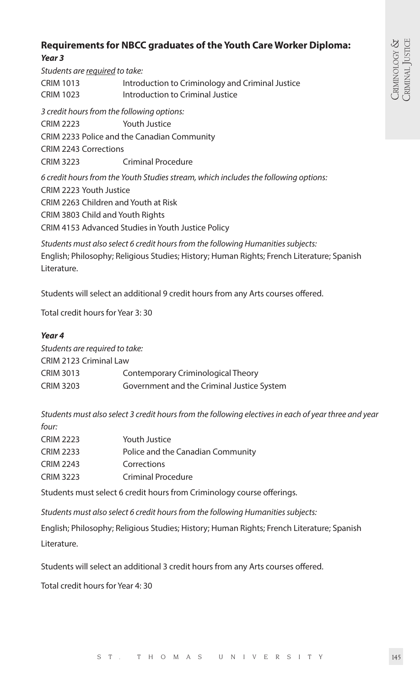# **Requirements for NBCC graduates of the Youth Care Worker Diploma:**  *Year 3*

*Students are required to take:* CRIM 1013 Introduction to Criminology and Criminal Justice CRIM 1023 Introduction to Criminal Justice *3 credit hours from the following options:*  CRIM 2223 Youth Justice CRIM 2233 Police and the Canadian Community CRIM 2243 Corrections CRIM 3223 Criminal Procedure *6 credit hours from the Youth Studies stream, which includes the following options:*  CRIM 2223 Youth Justice CRIM 2263 Children and Youth at Risk CRIM 3803 Child and Youth Rights CRIM 4153 Advanced Studies in Youth Justice Policy

*Students must also select 6 credit hours from the following Humanities subjects:* English; Philosophy; Religious Studies; History; Human Rights; French Literature; Spanish Literature.

Students will select an additional 9 credit hours from any Arts courses offered.

Total credit hours for Year 3: 30

#### *Year 4*

| Students are required to take:             |  |  |
|--------------------------------------------|--|--|
| CRIM 2123 Criminal Law                     |  |  |
| Contemporary Criminological Theory         |  |  |
| Government and the Criminal Justice System |  |  |
|                                            |  |  |

*Students must also select 3 credit hours from the following electives in each of year three and year four:*

| <b>CRIM 2223</b> | Youth Justice                     |
|------------------|-----------------------------------|
| <b>CRIM 2233</b> | Police and the Canadian Community |
| <b>CRIM 2243</b> | Corrections                       |
| <b>CRIM 3223</b> | Criminal Procedure                |
|                  |                                   |

Students must select 6 credit hours from Criminology course offerings.

*Students must also select 6 credit hours from the following Humanities subjects:* 

English; Philosophy; Religious Studies; History; Human Rights; French Literature; Spanish Literature.

Students will select an additional 3 credit hours from any Arts courses offered.

Total credit hours for Year 4: 30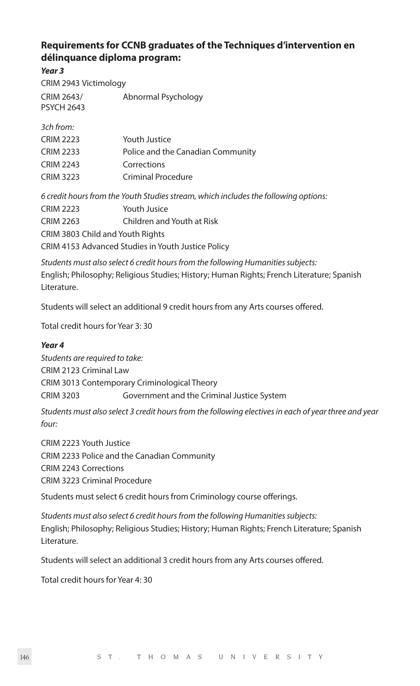# **Requirements for CCNB graduates of the Techniques d'intervention en délinquance diploma program:**

*Year 3*

CRIM 2943 Victimology CRIM 2643/ Abnormal Psychology PSYCH 2643

*3ch from:*

| <b>CRIM 2223</b> | Youth Justice                     |
|------------------|-----------------------------------|
| <b>CRIM 2233</b> | Police and the Canadian Community |
| <b>CRIM 2243</b> | Corrections                       |
| <b>CRIM 3223</b> | Criminal Procedure                |

*6 credit hours from the Youth Studies stream, which includes the following options:*  CRIM 2223 Youth Jusice CRIM 2263 Children and Youth at Risk CRIM 3803 Child and Youth Rights CRIM 4153 Advanced Studies in Youth Justice Policy

*Students must also select 6 credit hours from the following Humanities subjects:*  English; Philosophy; Religious Studies; History; Human Rights; French Literature; Spanish Literature.

Students will select an additional 9 credit hours from any Arts courses offered.

Total credit hours for Year 3: 30

# *Year 4*

*Students are required to take:* CRIM 2123 Criminal Law CRIM 3013 Contemporary Criminological Theory CRIM 3203 Government and the Criminal Justice System

*Students must also select 3 credit hours from the following electives in each of year three and year four:* 

CRIM 2223 Youth Justice CRIM 2233 Police and the Canadian Community CRIM 2243 Corrections CRIM 3223 Criminal Procedure

Students must select 6 credit hours from Criminology course offerings.

*Students must also select 6 credit hours from the following Humanities subjects:* English; Philosophy; Religious Studies; History; Human Rights; French Literature; Spanish Literature.

Students will select an additional 3 credit hours from any Arts courses offered.

Total credit hours for Year 4: 30